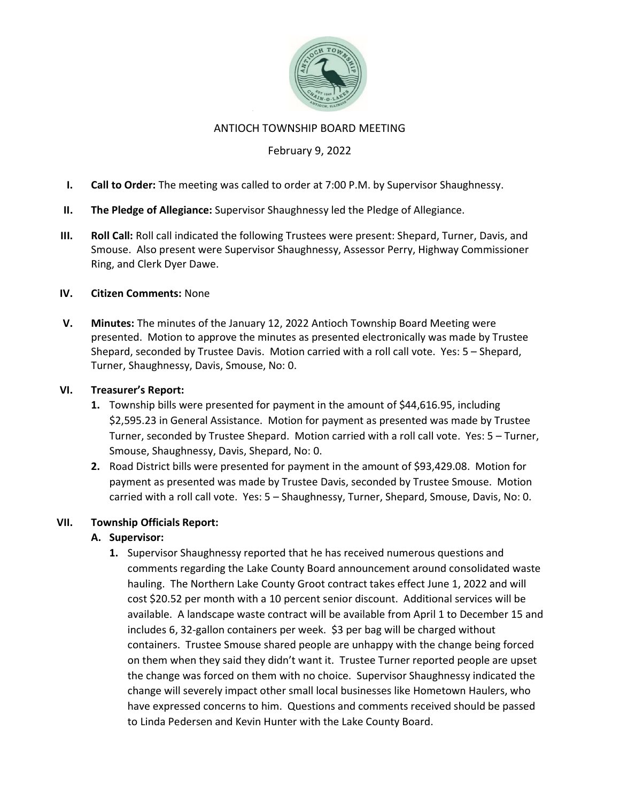

### ANTIOCH TOWNSHIP BOARD MEETING

## February 9, 2022

- I. Call to Order: The meeting was called to order at 7:00 P.M. by Supervisor Shaughnessy.
- II. The Pledge of Allegiance: Supervisor Shaughnessy led the Pledge of Allegiance.
- III. Roll Call: Roll call indicated the following Trustees were present: Shepard, Turner, Davis, and Smouse. Also present were Supervisor Shaughnessy, Assessor Perry, Highway Commissioner Ring, and Clerk Dyer Dawe.

#### IV. Citizen Comments: None

V. Minutes: The minutes of the January 12, 2022 Antioch Township Board Meeting were presented. Motion to approve the minutes as presented electronically was made by Trustee Shepard, seconded by Trustee Davis. Motion carried with a roll call vote. Yes: 5 – Shepard, Turner, Shaughnessy, Davis, Smouse, No: 0.

#### VI. Treasurer's Report:

- 1. Township bills were presented for payment in the amount of \$44,616.95, including \$2,595.23 in General Assistance. Motion for payment as presented was made by Trustee Turner, seconded by Trustee Shepard. Motion carried with a roll call vote. Yes: 5 – Turner, Smouse, Shaughnessy, Davis, Shepard, No: 0.
- 2. Road District bills were presented for payment in the amount of \$93,429.08. Motion for payment as presented was made by Trustee Davis, seconded by Trustee Smouse. Motion carried with a roll call vote. Yes: 5 – Shaughnessy, Turner, Shepard, Smouse, Davis, No: 0.

#### VII. Township Officials Report:

## A. Supervisor:

1. Supervisor Shaughnessy reported that he has received numerous questions and comments regarding the Lake County Board announcement around consolidated waste hauling. The Northern Lake County Groot contract takes effect June 1, 2022 and will cost \$20.52 per month with a 10 percent senior discount. Additional services will be available. A landscape waste contract will be available from April 1 to December 15 and includes 6, 32-gallon containers per week. \$3 per bag will be charged without containers. Trustee Smouse shared people are unhappy with the change being forced on them when they said they didn't want it. Trustee Turner reported people are upset the change was forced on them with no choice. Supervisor Shaughnessy indicated the change will severely impact other small local businesses like Hometown Haulers, who have expressed concerns to him. Questions and comments received should be passed to Linda Pedersen and Kevin Hunter with the Lake County Board.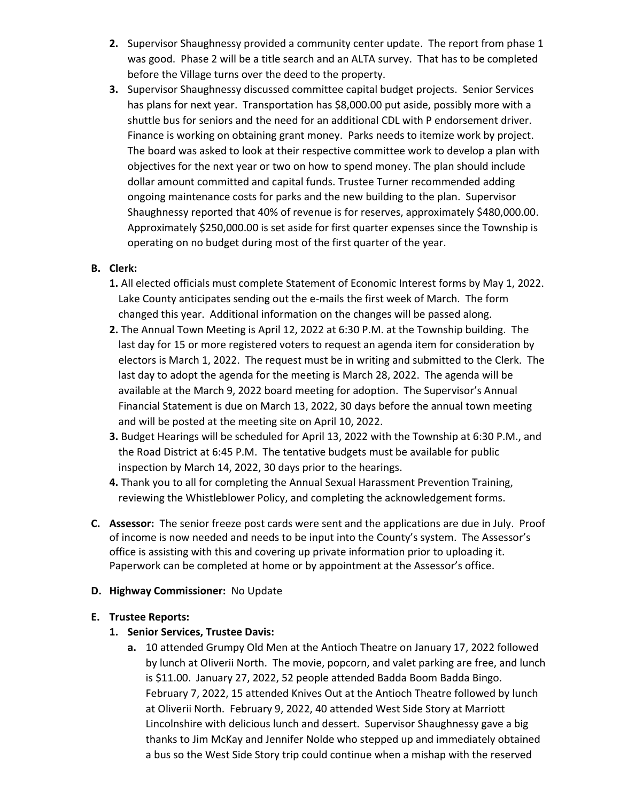- 2. Supervisor Shaughnessy provided a community center update. The report from phase 1 was good. Phase 2 will be a title search and an ALTA survey. That has to be completed before the Village turns over the deed to the property.
- 3. Supervisor Shaughnessy discussed committee capital budget projects. Senior Services has plans for next year. Transportation has \$8,000.00 put aside, possibly more with a shuttle bus for seniors and the need for an additional CDL with P endorsement driver. Finance is working on obtaining grant money. Parks needs to itemize work by project. The board was asked to look at their respective committee work to develop a plan with objectives for the next year or two on how to spend money. The plan should include dollar amount committed and capital funds. Trustee Turner recommended adding ongoing maintenance costs for parks and the new building to the plan. Supervisor Shaughnessy reported that 40% of revenue is for reserves, approximately \$480,000.00. Approximately \$250,000.00 is set aside for first quarter expenses since the Township is operating on no budget during most of the first quarter of the year.

## B. Clerk:

- 1. All elected officials must complete Statement of Economic Interest forms by May 1, 2022. Lake County anticipates sending out the e-mails the first week of March. The form changed this year. Additional information on the changes will be passed along.
- 2. The Annual Town Meeting is April 12, 2022 at 6:30 P.M. at the Township building. The last day for 15 or more registered voters to request an agenda item for consideration by electors is March 1, 2022. The request must be in writing and submitted to the Clerk. The last day to adopt the agenda for the meeting is March 28, 2022. The agenda will be available at the March 9, 2022 board meeting for adoption. The Supervisor's Annual Financial Statement is due on March 13, 2022, 30 days before the annual town meeting and will be posted at the meeting site on April 10, 2022.
- 3. Budget Hearings will be scheduled for April 13, 2022 with the Township at 6:30 P.M., and the Road District at 6:45 P.M. The tentative budgets must be available for public inspection by March 14, 2022, 30 days prior to the hearings.
- 4. Thank you to all for completing the Annual Sexual Harassment Prevention Training, reviewing the Whistleblower Policy, and completing the acknowledgement forms.
- C. Assessor: The senior freeze post cards were sent and the applications are due in July. Proof of income is now needed and needs to be input into the County's system. The Assessor's office is assisting with this and covering up private information prior to uploading it. Paperwork can be completed at home or by appointment at the Assessor's office.

## D. Highway Commissioner: No Update

## E. Trustee Reports:

# 1. Senior Services, Trustee Davis:

a. 10 attended Grumpy Old Men at the Antioch Theatre on January 17, 2022 followed by lunch at Oliverii North. The movie, popcorn, and valet parking are free, and lunch is \$11.00. January 27, 2022, 52 people attended Badda Boom Badda Bingo. February 7, 2022, 15 attended Knives Out at the Antioch Theatre followed by lunch at Oliverii North. February 9, 2022, 40 attended West Side Story at Marriott Lincolnshire with delicious lunch and dessert. Supervisor Shaughnessy gave a big thanks to Jim McKay and Jennifer Nolde who stepped up and immediately obtained a bus so the West Side Story trip could continue when a mishap with the reserved